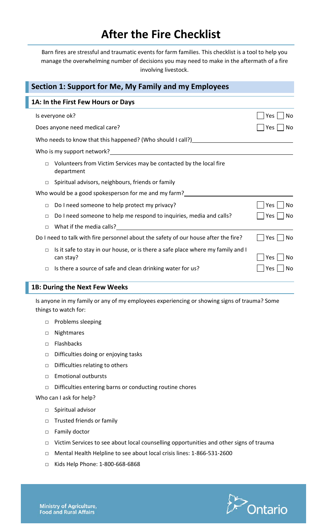## **After the Fire Checklist**

Barn fires are stressful and traumatic events for farm families. This checklist is a tool to help you manage the overwhelming number of decisions you may need to make in the aftermath of a fire involving livestock.

| Section 1: Support for Me, My Family and my Employees                                                  |            |  |  |  |  |
|--------------------------------------------------------------------------------------------------------|------------|--|--|--|--|
| 1A: In the First Few Hours or Days                                                                     |            |  |  |  |  |
| Is everyone ok?                                                                                        | No<br>Yes  |  |  |  |  |
| Does anyone need medical care?                                                                         | Yes<br>No  |  |  |  |  |
| Who needs to know that this happened? (Who should I call?)                                             |            |  |  |  |  |
| Who is my support network?                                                                             |            |  |  |  |  |
| Volunteers from Victim Services may be contacted by the local fire<br>$\Box$<br>department             |            |  |  |  |  |
| Spiritual advisors, neighbours, friends or family<br>П                                                 |            |  |  |  |  |
| Who would be a good spokesperson for me and my farm?                                                   |            |  |  |  |  |
| Do I need someone to help protect my privacy?<br>$\Box$                                                | Yes<br>No  |  |  |  |  |
| Do I need someone to help me respond to inquiries, media and calls?<br>П                               | Yes<br>No  |  |  |  |  |
| $\Box$                                                                                                 |            |  |  |  |  |
| Do I need to talk with fire personnel about the safety of our house after the fire?                    | Yes.<br>No |  |  |  |  |
| Is it safe to stay in our house, or is there a safe place where my family and I<br>$\Box$<br>can stay? | Yes<br>No  |  |  |  |  |
| Is there a source of safe and clean drinking water for us?<br>$\Box$                                   | No<br>Yes  |  |  |  |  |

## **1B: During the Next Few Weeks**

Is anyone in my family or any of my employees experiencing or showing signs of trauma? Some things to watch for:

- □ Problems sleeping
- □ Nightmares
- □ Flashbacks
- □ Difficulties doing or enjoying tasks
- □ Difficulties relating to others
- □ Emotional outbursts
- □ Difficulties entering barns or conducting routine chores

## Who can I ask for help?

- □ Spiritual advisor
- □ Trusted friends or family
- □ Family doctor
- □ Victim Services to see about local counselling opportunities and other signs of trauma
- □ Mental Health Helpline to see about local crisis lines: 1-866-531-2600
- □ Kids Help Phone: 1-800-668-6868

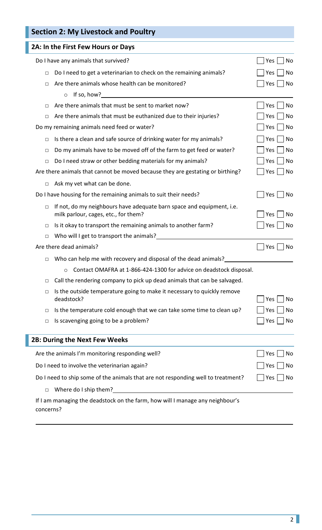| <b>Section 2: My Livestock and Poultry</b>                                                                              |                  |
|-------------------------------------------------------------------------------------------------------------------------|------------------|
| 2A: In the First Few Hours or Days                                                                                      |                  |
| Do I have any animals that survived?                                                                                    | No<br>Yes        |
| Do I need to get a veterinarian to check on the remaining animals?<br>□                                                 | Yes<br>No        |
| Are there animals whose health can be monitored?<br>$\Box$                                                              | Yes<br>No        |
| If so, how?<br>$\circ$                                                                                                  |                  |
| Are there animals that must be sent to market now?<br>□                                                                 | Yes<br>No        |
| Are there animals that must be euthanized due to their injuries?<br>□                                                   | No<br>Yes        |
| Do my remaining animals need feed or water?                                                                             | Yes<br>No        |
| Is there a clean and safe source of drinking water for my animals?<br>$\Box$                                            | Yes<br><b>No</b> |
| Do my animals have to be moved off of the farm to get feed or water?<br>$\Box$                                          | Yes<br>No        |
| Do I need straw or other bedding materials for my animals?<br>$\Box$                                                    | No<br>Yes        |
| Are there animals that cannot be moved because they are gestating or birthing?                                          | Yes<br>No        |
| Ask my vet what can be done.<br>$\Box$                                                                                  |                  |
| Do I have housing for the remaining animals to suit their needs?                                                        | Yes<br>No        |
| If not, do my neighbours have adequate barn space and equipment, i.e.<br>$\Box$<br>milk parlour, cages, etc., for them? | Yes<br>No        |
| Is it okay to transport the remaining animals to another farm?<br>$\Box$                                                | Yes<br>No        |
| Who will I get to transport the animals?<br>□                                                                           |                  |
| Are there dead animals?                                                                                                 | No<br>Yes        |
| Who can help me with recovery and disposal of the dead animals?<br>□                                                    |                  |
| Contact OMAFRA at 1-866-424-1300 for advice on deadstock disposal.<br>$\circ$                                           |                  |
| Call the rendering company to pick up dead animals that can be salvaged.<br>$\Box$                                      |                  |
| Is the outside temperature going to make it necessary to quickly remove<br>□<br>deadstock?                              | Yes<br>No        |
| Is the temperature cold enough that we can take some time to clean up?<br>□                                             | No<br>Yes        |
| Is scavenging going to be a problem?<br>$\Box$                                                                          | No<br>Yes        |
| 2B: During the Next Few Weeks                                                                                           |                  |
| Are the animals I'm monitoring responding well?                                                                         | No<br>Yes        |
| Do I need to involve the veterinarian again?                                                                            | Yes<br>No        |
| Do I need to ship some of the animals that are not responding well to treatment?                                        | No<br>Yes        |
| Where do I ship them?<br>$\Box$                                                                                         |                  |
| If I am managing the deadstock on the farm, how will I manage any neighbour's<br>concerns?                              |                  |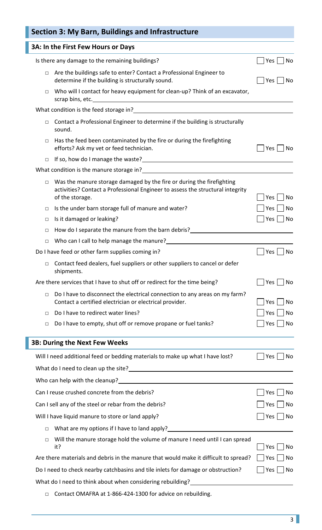|        | Section 3: My Barn, Buildings and Infrastructure                                                                                                                           |               |
|--------|----------------------------------------------------------------------------------------------------------------------------------------------------------------------------|---------------|
|        | 3A: In the First Few Hours or Days                                                                                                                                         |               |
|        | Is there any damage to the remaining buildings?                                                                                                                            | Yes  <br>No   |
| $\Box$ | Are the buildings safe to enter? Contact a Professional Engineer to<br>determine if the building is structurally sound.                                                    | Yes<br>No     |
| $\Box$ | Who will I contact for heavy equipment for clean-up? Think of an excavator,                                                                                                |               |
|        |                                                                                                                                                                            |               |
| $\Box$ | Contact a Professional Engineer to determine if the building is structurally<br>sound.                                                                                     |               |
| $\Box$ | Has the feed been contaminated by the fire or during the firefighting<br>efforts? Ask my vet or feed technician.                                                           | Yes<br>Nο     |
| $\Box$ |                                                                                                                                                                            |               |
|        | What condition is the manure storage in?<br><u> What condition is the manure storage in?</u>                                                                               |               |
| $\Box$ | Was the manure storage damaged by the fire or during the firefighting<br>activities? Contact a Professional Engineer to assess the structural integrity<br>of the storage. | No<br>Yes     |
| $\Box$ | Is the under barn storage full of manure and water?                                                                                                                        | No<br>Yes     |
| $\Box$ | Is it damaged or leaking?                                                                                                                                                  | No<br>Yes     |
| $\Box$ | How do I separate the manure from the barn debris?                                                                                                                         |               |
| $\Box$ | Who can I call to help manage the manure?<br><u>[</u> [11] Who can I call to help manage the manure?                                                                       |               |
|        | Do I have feed or other farm supplies coming in?                                                                                                                           | No<br>Yes     |
| $\Box$ | Contact feed dealers, fuel suppliers or other suppliers to cancel or defer<br>shipments.                                                                                   |               |
|        | Are there services that I have to shut off or redirect for the time being?                                                                                                 | Yes     No    |
| $\Box$ | Do I have to disconnect the electrical connection to any areas on my farm?<br>Contact a certified electrician or electrical provider.                                      | Yes<br>No     |
| $\Box$ | Do I have to redirect water lines?                                                                                                                                         | No<br>Yes     |
| $\Box$ | Do I have to empty, shut off or remove propane or fuel tanks?                                                                                                              | No<br>Yes     |
|        | <b>3B: During the Next Few Weeks</b>                                                                                                                                       |               |
|        | Will I need additional feed or bedding materials to make up what I have lost?                                                                                              | No<br>Yes     |
|        |                                                                                                                                                                            |               |
|        | Who can help with the cleanup?                                                                                                                                             |               |
|        | Can I reuse crushed concrete from the debris?                                                                                                                              | No<br>Yes     |
|        | Can I sell any of the steel or rebar from the debris?                                                                                                                      | No<br>Yes     |
|        | Will I have liquid manure to store or land apply?                                                                                                                          | Yes<br>$ $ No |
| $\Box$ | What are my options if I have to land apply?                                                                                                                               |               |
| $\Box$ | Will the manure storage hold the volume of manure I need until I can spread<br>it?                                                                                         | Yes<br>No     |
|        | Are there materials and debris in the manure that would make it difficult to spread?                                                                                       | No<br>Yes     |
|        | Do I need to check nearby catchbasins and tile inlets for damage or obstruction?                                                                                           | No<br>Yes     |
|        | What do I need to think about when considering rebuilding?                                                                                                                 |               |
|        |                                                                                                                                                                            |               |

□ Contact OMAFRA at 1-866-424-1300 for advice on rebuilding.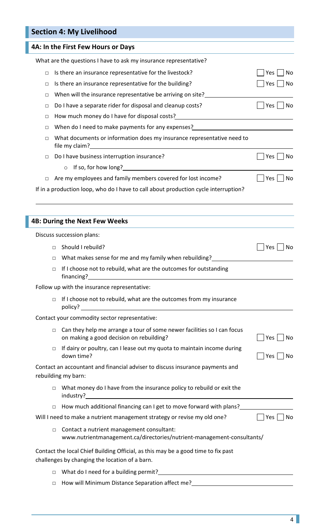|        | <b>Section 4: My Livelihood</b>                                                                                                                                                                                                                                                                                 |                      |
|--------|-----------------------------------------------------------------------------------------------------------------------------------------------------------------------------------------------------------------------------------------------------------------------------------------------------------------|----------------------|
|        | 4A: In the First Few Hours or Days                                                                                                                                                                                                                                                                              |                      |
|        | What are the questions I have to ask my insurance representative?                                                                                                                                                                                                                                               |                      |
| $\Box$ | Is there an insurance representative for the livestock?                                                                                                                                                                                                                                                         | Yes<br>No            |
| $\Box$ | Is there an insurance representative for the building?                                                                                                                                                                                                                                                          | $Yes \mid \text{No}$ |
| $\Box$ | When will the insurance representative be arriving on site?                                                                                                                                                                                                                                                     |                      |
| $\Box$ | Do I have a separate rider for disposal and cleanup costs?                                                                                                                                                                                                                                                      | $Yes \mid No$        |
| $\Box$ | How much money do I have for disposal costs?<br>How much money do I have for disposal costs?                                                                                                                                                                                                                    |                      |
| □      | When do I need to make payments for any expenses?<br>Mhen do I need to make payments for any expenses?                                                                                                                                                                                                          |                      |
| $\Box$ | What documents or information does my insurance representative need to<br>file my claim?<br><u> and the my claim</u> of the matter of the matter of the matter of the matter of the matter of the matter of the matter of the matter of the matter of the matter of the matter of the matter of the matter of t |                      |
| $\Box$ | Do I have business interruption insurance?                                                                                                                                                                                                                                                                      | No<br>Yes            |
|        | o If so, for how long?                                                                                                                                                                                                                                                                                          |                      |
| $\Box$ | Are my employees and family members covered for lost income?                                                                                                                                                                                                                                                    | Yes  <br>No    No    |
|        | If in a production loop, who do I have to call about production cycle interruption?                                                                                                                                                                                                                             |                      |
|        |                                                                                                                                                                                                                                                                                                                 |                      |
|        | <b>4B: During the Next Few Weeks</b>                                                                                                                                                                                                                                                                            |                      |
|        | Discuss succession plans:                                                                                                                                                                                                                                                                                       |                      |
| $\Box$ | Should I rebuild?                                                                                                                                                                                                                                                                                               | Yes<br>No            |
|        | □ What makes sense for me and my family when rebuilding?                                                                                                                                                                                                                                                        |                      |
| $\Box$ | If I choose not to rebuild, what are the outcomes for outstanding                                                                                                                                                                                                                                               |                      |
|        | Follow up with the insurance representative:                                                                                                                                                                                                                                                                    |                      |
| $\Box$ | If I choose not to rebuild, what are the outcomes from my insurance                                                                                                                                                                                                                                             |                      |
|        | Contact your commodity sector representative:                                                                                                                                                                                                                                                                   |                      |
| $\Box$ | Can they help me arrange a tour of some newer facilities so I can focus<br>on making a good decision on rebuilding?                                                                                                                                                                                             | Yes<br>No            |
| $\Box$ | If dairy or poultry, can I lease out my quota to maintain income during<br>down time?                                                                                                                                                                                                                           | Yes<br>No            |
|        | Contact an accountant and financial adviser to discuss insurance payments and<br>rebuilding my barn:                                                                                                                                                                                                            |                      |
| $\Box$ | What money do I have from the insurance policy to rebuild or exit the                                                                                                                                                                                                                                           |                      |
| $\Box$ | How much additional financing can I get to move forward with plans?                                                                                                                                                                                                                                             |                      |
|        | Will I need to make a nutrient management strategy or revise my old one?                                                                                                                                                                                                                                        | Yes<br><b>No</b>     |
| $\Box$ | Contact a nutrient management consultant:<br>www.nutrientmanagement.ca/directories/nutrient-management-consultants/                                                                                                                                                                                             |                      |
|        | Contact the local Chief Building Official, as this may be a good time to fix past<br>challenges by changing the location of a barn.                                                                                                                                                                             |                      |
| $\Box$ |                                                                                                                                                                                                                                                                                                                 |                      |
| $\Box$ | How will Minimum Distance Separation affect me?                                                                                                                                                                                                                                                                 |                      |